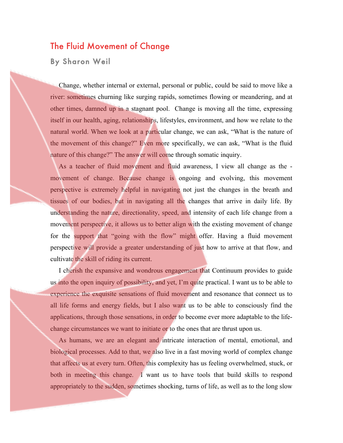## The Fluid Movement of Change

By Sharon Weil

 Change, whether internal or external, personal or public, could be said to move like a river: sometimes churning like surging rapids, sometimes flowing or meandering, and at other times, damned up in a stagnant pool. Change is moving all the time, expressing itself in our health, aging, relationships, lifestyles, environment, and how we relate to the natural world. When we look at a particular change, we can ask, "What is the nature of the movement of this change?" Even more specifically, we can ask, "What is the fluid nature of this change?" The answer will come through somatic inquiry.

 As a teacher of fluid movement and fluid awareness, I view all change as the movement of change. Because change is ongoing and evolving, this movement perspective is extremely helpful in navigating not just the changes in the breath and tissues of our bodies, but in navigating all the changes that arrive in daily life. By understanding the nature, directionality, speed, and intensity of each life change from a movement perspective, it allows us to better align with the existing movement of change for the support that "going with the flow" might offer. Having a fluid movement perspective will provide a greater understanding of just how to arrive at that flow, and cultivate the skill of riding its current.

 I cherish the expansive and wondrous engagement that Continuum provides to guide us into the open inquiry of possibility, and yet, I'm quite practical. I want us to be able to experience the exquisite sensations of fluid movement and resonance that connect us to all life forms and energy fields, but I also want us to be able to consciously find the applications, through those sensations, in order to become ever more adaptable to the lifechange circumstances we want to initiate or to the ones that are thrust upon us.

 As humans, we are an elegant and intricate interaction of mental, emotional, and biological processes. Add to that, we also live in a fast moving world of complex change that affects us at every turn. Often, this complexity has us feeling overwhelmed, stuck, or both in meeting this change. I want us to have tools that build skills to respond appropriately to the sudden, sometimes shocking, turns of life, as well as to the long slow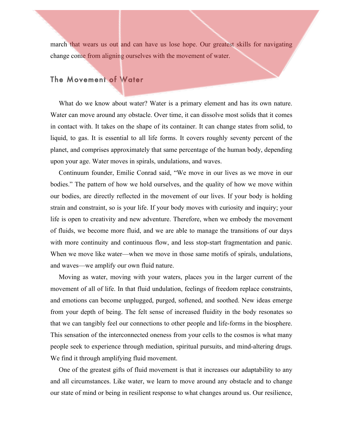march that wears us out and can have us lose hope. Our greatest skills for navigating change come from aligning ourselves with the movement of water.

# The Movement of Water

 What do we know about water? Water is a primary element and has its own nature. Water can move around any obstacle. Over time, it can dissolve most solids that it comes in contact with. It takes on the shape of its container. It can change states from solid, to liquid, to gas. It is essential to all life forms. It covers roughly seventy percent of the planet, and comprises approximately that same percentage of the human body, depending upon your age. Water moves in spirals, undulations, and waves.

 Continuum founder, Emilie Conrad said, "We move in our lives as we move in our bodies." The pattern of how we hold ourselves, and the quality of how we move within our bodies, are directly reflected in the movement of our lives. If your body is holding strain and constraint, so is your life. If your body moves with curiosity and inquiry; your life is open to creativity and new adventure. Therefore, when we embody the movement of fluids, we become more fluid, and we are able to manage the transitions of our days with more continuity and continuous flow, and less stop-start fragmentation and panic. When we move like water—when we move in those same motifs of spirals, undulations, and waves—we amplify our own fluid nature.

 Moving as water, moving with your waters, places you in the larger current of the movement of all of life. In that fluid undulation, feelings of freedom replace constraints, and emotions can become unplugged, purged, softened, and soothed. New ideas emerge from your depth of being. The felt sense of increased fluidity in the body resonates so that we can tangibly feel our connections to other people and life-forms in the biosphere. This sensation of the interconnected oneness from your cells to the cosmos is what many people seek to experience through mediation, spiritual pursuits, and mind-altering drugs. We find it through amplifying fluid movement.

 One of the greatest gifts of fluid movement is that it increases our adaptability to any and all circumstances. Like water, we learn to move around any obstacle and to change our state of mind or being in resilient response to what changes around us. Our resilience,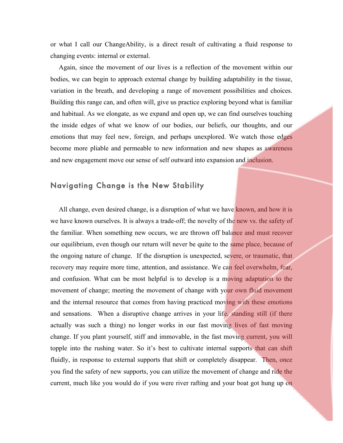or what I call our ChangeAbility, is a direct result of cultivating a fluid response to changing events: internal or external.

 Again, since the movement of our lives is a reflection of the movement within our bodies, we can begin to approach external change by building adaptability in the tissue, variation in the breath, and developing a range of movement possibilities and choices. Building this range can, and often will, give us practice exploring beyond what is familiar and habitual. As we elongate, as we expand and open up, we can find ourselves touching the inside edges of what we know of our bodies, our beliefs, our thoughts, and our emotions that may feel new, foreign, and perhaps unexplored. We watch those edges become more pliable and permeable to new information and new shapes as awareness and new engagement move our sense of self outward into expansion and inclusion.

### Navigating Change is the New Stability

All change, even desired change, is a disruption of what we have known, and how it is we have known ourselves. It is always a trade-off; the novelty of the new vs. the safety of the familiar. When something new occurs, we are thrown off balance and must recover our equilibrium, even though our return will never be quite to the same place, because of the ongoing nature of change. If the disruption is unexpected, severe, or traumatic, that recovery may require more time, attention, and assistance. We can feel overwhelm, fear, and confusion. What can be most helpful is to develop is a moving adaptation to the movement of change; meeting the movement of change with your own fluid movement and the internal resource that comes from having practiced moving with these emotions and sensations. When a disruptive change arrives in your life, standing still (if there actually was such a thing) no longer works in our fast moving lives of fast moving change. If you plant yourself, stiff and immovable, in the fast moving current, you will topple into the rushing water. So it's best to cultivate internal supports that can shift fluidly, in response to external supports that shift or completely disappear. Then, once you find the safety of new supports, you can utilize the movement of change and ride the current, much like you would do if you were river rafting and your boat got hung up on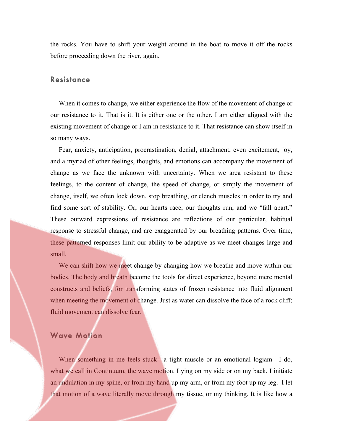the rocks. You have to shift your weight around in the boat to move it off the rocks before proceeding down the river, again.

#### **Resistance**

 When it comes to change, we either experience the flow of the movement of change or our resistance to it. That is it. It is either one or the other. I am either aligned with the existing movement of change or I am in resistance to it. That resistance can show itself in so many ways.

 Fear, anxiety, anticipation, procrastination, denial, attachment, even excitement, joy, and a myriad of other feelings, thoughts, and emotions can accompany the movement of change as we face the unknown with uncertainty. When we area resistant to these feelings, to the content of change, the speed of change, or simply the movement of change, itself, we often lock down, stop breathing, or clench muscles in order to try and find some sort of stability. Or, our hearts race, our thoughts run, and we "fall apart." These outward expressions of resistance are reflections of our particular, habitual response to stressful change, and are exaggerated by our breathing patterns. Over time, these patterned responses limit our ability to be adaptive as we meet changes large and small.

 We can shift how we meet change by changing how we breathe and move within our bodies. The body and breath become the tools for direct experience, beyond mere mental constructs and beliefs, for transforming states of frozen resistance into fluid alignment when meeting the movement of change. Just as water can dissolve the face of a rock cliff; fluid movement can dissolve fear.

#### Wave Motion

When something in me feels stuck—a tight muscle or an emotional logjam—I do, what we call in Continuum, the wave motion. Lying on my side or on my back, I initiate an undulation in my spine, or from my hand up my arm, or from my foot up my leg. I let that motion of a wave literally move through my tissue, or my thinking. It is like how a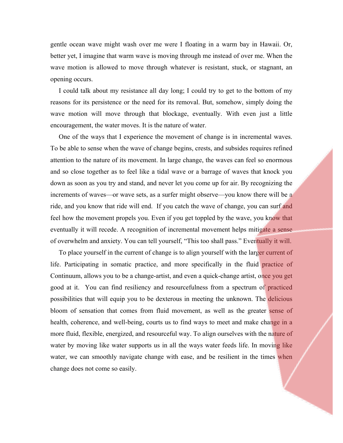gentle ocean wave might wash over me were I floating in a warm bay in Hawaii. Or, better yet, I imagine that warm wave is moving through me instead of over me. When the wave motion is allowed to move through whatever is resistant, stuck, or stagnant, an opening occurs.

 I could talk about my resistance all day long; I could try to get to the bottom of my reasons for its persistence or the need for its removal. But, somehow, simply doing the wave motion will move through that blockage, eventually. With even just a little encouragement, the water moves. It is the nature of water.

 One of the ways that I experience the movement of change is in incremental waves. To be able to sense when the wave of change begins, crests, and subsides requires refined attention to the nature of its movement. In large change, the waves can feel so enormous and so close together as to feel like a tidal wave or a barrage of waves that knock you down as soon as you try and stand, and never let you come up for air. By recognizing the increments of waves—or wave sets, as a surfer might observe—you know there will be a ride, and you know that ride will end. If you catch the wave of change, you can surf and feel how the movement propels you. Even if you get toppled by the wave, you know that eventually it will recede. A recognition of incremental movement helps mitigate a sense of overwhelm and anxiety. You can tell yourself, "This too shall pass." Eventually it will.

 To place yourself in the current of change is to align yourself with the larger current of life. Participating in somatic practice, and more specifically in the fluid practice of Continuum, allows you to be a change-artist, and even a quick-change artist, once you get good at it. You can find resiliency and resourcefulness from a spectrum of practiced possibilities that will equip you to be dexterous in meeting the unknown. The delicious bloom of sensation that comes from fluid movement, as well as the greater sense of health, coherence, and well-being, courts us to find ways to meet and make change in a more fluid, flexible, energized, and resourceful way. To align ourselves with the nature of water by moving like water supports us in all the ways water feeds life. In moving like water, we can smoothly navigate change with ease, and be resilient in the times when change does not come so easily.